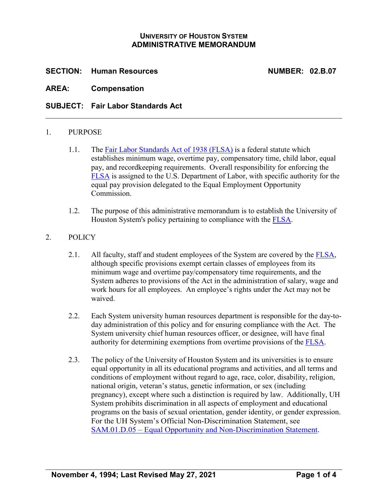## **UNIVERSITY OF HOUSTON SYSTEM ADMINISTRATIVE MEMORANDUM**

## **SECTION: Human Resources NUMBER: 02.B.07**

**AREA: Compensation**

## **SUBJECT: Fair Labor Standards Act**

### 1. PURPOSE

- 1.1. The [Fair Labor Standards Act of 1938 \(FLSA\)](https://www.dol.gov/agencies/whd/flsa) is a federal statute which establishes minimum wage, overtime pay, compensatory time, child labor, equal pay, and recordkeeping requirements. Overall responsibility for enforcing the [FLSA](https://www.dol.gov/agencies/whd/flsa) is assigned to the U.S. Department of Labor, with specific authority for the equal pay provision delegated to the Equal Employment Opportunity Commission.
- 1.2. The purpose of this administrative memorandum is to establish the University of Houston System's policy pertaining to compliance with the [FLSA.](https://www.dol.gov/agencies/whd/flsa)

### 2. POLICY

- 2.1. All faculty, staff and student employees of the System are covered by the [FLSA,](https://www.dol.gov/agencies/whd/flsa) although specific provisions exempt certain classes of employees from its minimum wage and overtime pay/compensatory time requirements, and the System adheres to provisions of the Act in the administration of salary, wage and work hours for all employees. An employee's rights under the Act may not be waived.
- 2.2. Each System university human resources department is responsible for the day-today administration of this policy and for ensuring compliance with the Act. The System university chief human resources officer, or designee, will have final authority for determining exemptions from overtime provisions of the [FLSA.](https://www.dol.gov/agencies/whd/flsa)
- 2.3. The policy of the University of Houston System and its universities is to ensure equal opportunity in all its educational programs and activities, and all terms and conditions of employment without regard to age, race, color, disability, religion, national origin, veteran's status, genetic information, or sex (including pregnancy), except where such a distinction is required by law. Additionally, UH System prohibits discrimination in all aspects of employment and educational programs on the basis of sexual orientation, gender identity, or gender expression. For the UH System's Official Non-Discrimination Statement, see SAM.01.D.05 – [Equal Opportunity and Non-Discrimination Statement.](https://uhsystem.edu/compliance-ethics/_docs/sam/01/1d51.pdf)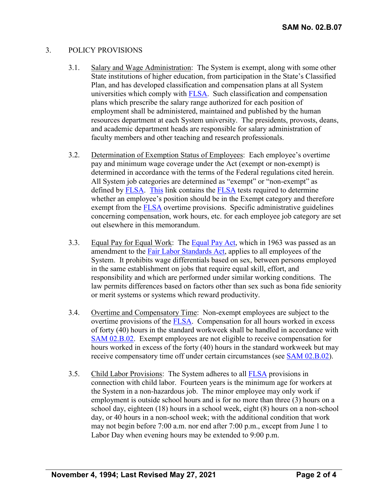## 3. POLICY PROVISIONS

- 3.1. Salary and Wage Administration: The System is exempt, along with some other State institutions of higher education, from participation in the State's Classified Plan, and has developed classification and compensation plans at all System universities which comply with [FLSA.](https://www.dol.gov/agencies/whd/flsa) Such classification and compensation plans which prescribe the salary range authorized for each position of employment shall be administered, maintained and published by the human resources department at each System university. The presidents, provosts, deans, and academic department heads are responsible for salary administration of faculty members and other teaching and research professionals.
- 3.2. Determination of Exemption Status of Employees: Each employee's overtime pay and minimum wage coverage under the Act (exempt or non-exempt) is determined in accordance with the terms of the Federal regulations cited herein. All System job categories are determined as "exempt" or "non-exempt" as defined by [FLSA.](https://www.dol.gov/agencies/whd/flsa) [This](https://www.dol.gov/sites/dolgov/files/WHD/legacy/files/fs17a_overview.pdf) link contains the [FLSA](https://www.dol.gov/agencies/whd/flsa) tests required to determine whether an employee's position should be in the Exempt category and therefore exempt from the [FLSA](https://www.dol.gov/agencies/whd/flsa) overtime provisions. Specific administrative guidelines concerning compensation, work hours, etc. for each employee job category are set out elsewhere in this memorandum.
- 3.3. Equal Pay for Equal Work: The [Equal Pay Act,](https://www.eeoc.gov/statutes/equal-pay-act-1963) which in 1963 was passed as an amendment to the [Fair Labor Standards Act,](http://www.dol.gov/agencies/whd/flsa/) applies to all employees of the System. It prohibits wage differentials based on sex, between persons employed in the same establishment on jobs that require equal skill, effort, and responsibility and which are performed under similar working conditions. The law permits differences based on factors other than sex such as bona fide seniority or merit systems or systems which reward productivity.
- 3.4. Overtime and Compensatory Time: Non-exempt employees are subject to the overtime provisions of the [FLSA.](http://www.dol.gov/agencies/whd/flsa/) Compensation for all hours worked in excess of forty (40) hours in the standard workweek shall be handled in accordance with SAM [02.B.02.](https://uhsystem.edu/compliance-ethics/_docs/sam/02/2b2.pdf) Exempt employees are not eligible to receive compensation for hours worked in excess of the forty (40) hours in the standard workweek but may receive compensatory time off under certain circumstances (see SAM [02.B.02\)](https://uhsystem.edu/compliance-ethics/_docs/sam/02/2b2.pdf).
- 3.5. Child Labor Provisions: The System adheres to all [FLSA](http://www.dol.gov/agencies/whd/flsa/) provisions in connection with child labor. Fourteen years is the minimum age for workers at the System in a non-hazardous job. The minor employee may only work if employment is outside school hours and is for no more than three (3) hours on a school day, eighteen (18) hours in a school week, eight (8) hours on a non-school day, or 40 hours in a non-school week; with the additional condition that work may not begin before 7:00 a.m. nor end after 7:00 p.m., except from June 1 to Labor Day when evening hours may be extended to 9:00 p.m.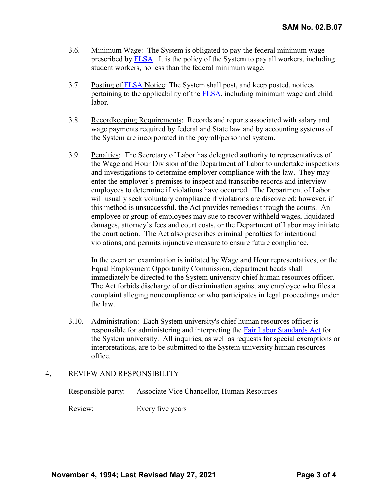- 3.6. Minimum Wage: The System is obligated to pay the federal minimum wage prescribed by [FLSA.](http://www.dol.gov/agencies/whd/flsa/) It is the policy of the System to pay all workers, including student workers, no less than the federal minimum wage.
- 3.7. Posting of [FLSA](http://www.dol.gov/agencies/whd/flsa/) Notice: The System shall post, and keep posted, notices pertaining to the applicability of the [FLSA,](http://www.dol.gov/agencies/whd/flsa/) including minimum wage and child labor.
- 3.8. Recordkeeping Requirements: Records and reports associated with salary and wage payments required by federal and State law and by accounting systems of the System are incorporated in the payroll/personnel system.
- 3.9. Penalties: The Secretary of Labor has delegated authority to representatives of the Wage and Hour Division of the Department of Labor to undertake inspections and investigations to determine employer compliance with the law. They may enter the employer's premises to inspect and transcribe records and interview employees to determine if violations have occurred. The Department of Labor will usually seek voluntary compliance if violations are discovered; however, if this method is unsuccessful, the Act provides remedies through the courts. An employee or group of employees may sue to recover withheld wages, liquidated damages, attorney's fees and court costs, or the Department of Labor may initiate the court action. The Act also prescribes criminal penalties for intentional violations, and permits injunctive measure to ensure future compliance.

In the event an examination is initiated by Wage and Hour representatives, or the Equal Employment Opportunity Commission, department heads shall immediately be directed to the System university chief human resources officer. The Act forbids discharge of or discrimination against any employee who files a complaint alleging noncompliance or who participates in legal proceedings under the law.

3.10. Administration: Each System university's chief human resources officer is responsible for administering and interpreting the [Fair Labor Standards Act](http://www.dol.gov/agencies/whd/flsa/) for the System university. All inquiries, as well as requests for special exemptions or interpretations, are to be submitted to the System university human resources office.

### 4. REVIEW AND RESPONSIBILITY

|         | Responsible party: Associate Vice Chancellor, Human Resources |
|---------|---------------------------------------------------------------|
| Review: | Every five years                                              |